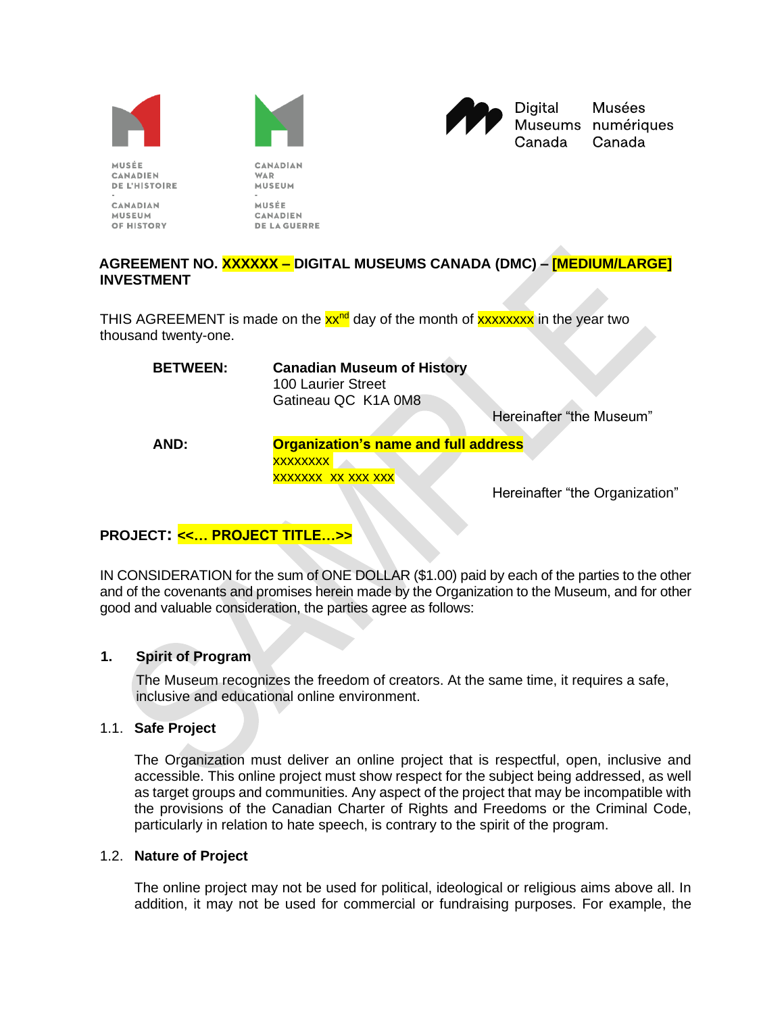



**CANADIAN** 

**WAR** 



**Musées** Museums numériques Canada

MUSÉE **CANADIEN DE L'HISTOIRE** 

**CANADIAN MUSEUM** OF HISTORY MUSEUM MUSÉE **CANADIEN DE LA GUERRE** 

# **AGREEMENT NO. XXXXXX – DIGITAL MUSEUMS CANADA (DMC) – [MEDIUM/LARGE] INVESTMENT**

THIS AGREEMENT is made on the  $xx^{\text{nd}}$  day of the month of  $xxxxxxx$  in the year two thousand twenty-one.

| <b>BETWEEN:</b> | <b>Canadian Museum of History</b><br><b>100 Laurier Street</b><br>Gatineau QC K1A 0M8 |                          |  |
|-----------------|---------------------------------------------------------------------------------------|--------------------------|--|
|                 |                                                                                       | Hereinafter "the Museum" |  |
| AND:            | <b>Organization's name and full address</b>                                           |                          |  |
|                 | <b>XXXXXXXX</b>                                                                       |                          |  |
|                 | XXXXXXX XX XXX XXX                                                                    |                          |  |

Hereinafter "the Organization"

# **PROJECT: <<… PROJECT TITLE…***>>*

IN CONSIDERATION for the sum of ONE DOLLAR (\$1.00) paid by each of the parties to the other and of the covenants and promises herein made by the Organization to the Museum, and for other good and valuable consideration, the parties agree as follows:

# **1. Spirit of Program**

The Museum recognizes the freedom of creators. At the same time, it requires a safe, inclusive and educational online environment.

# 1.1. **Safe Project**

The Organization must deliver an online project that is respectful, open, inclusive and accessible. This online project must show respect for the subject being addressed, as well as target groups and communities. Any aspect of the project that may be incompatible with the provisions of the Canadian Charter of Rights and Freedoms or the Criminal Code, particularly in relation to hate speech, is contrary to the spirit of the program.

#### 1.2. **Nature of Project**

The online project may not be used for political, ideological or religious aims above all. In addition, it may not be used for commercial or fundraising purposes. For example, the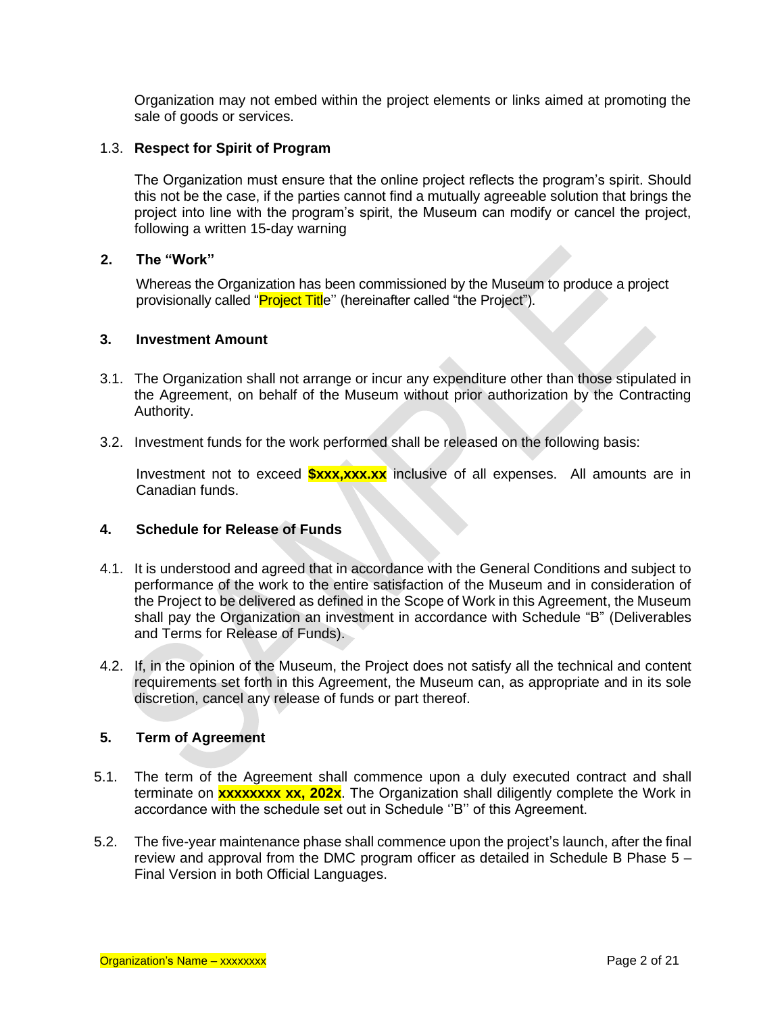Organization may not embed within the project elements or links aimed at promoting the sale of goods or services.

#### 1.3. **Respect for Spirit of Program**

The Organization must ensure that the online project reflects the program's spirit. Should this not be the case, if the parties cannot find a mutually agreeable solution that brings the project into line with the program's spirit, the Museum can modify or cancel the project, following a written 15-day warning

#### **2. The "Work"**

Whereas the Organization has been commissioned by the Museum to produce a project provisionally called "**Project Titl**e" (hereinafter called "the Project").

#### **3. Investment Amount**

- 3.1. The Organization shall not arrange or incur any expenditure other than those stipulated in the Agreement, on behalf of the Museum without prior authorization by the Contracting Authority.
- 3.2. Investment funds for the work performed shall be released on the following basis:

Investment not to exceed **\$xxx,xxx.xx** inclusive of all expenses. All amounts are in Canadian funds.

#### **4. Schedule for Release of Funds**

- 4.1. It is understood and agreed that in accordance with the General Conditions and subject to performance of the work to the entire satisfaction of the Museum and in consideration of the Project to be delivered as defined in the Scope of Work in this Agreement, the Museum shall pay the Organization an investment in accordance with Schedule "B" (Deliverables and Terms for Release of Funds).
- 4.2. If, in the opinion of the Museum, the Project does not satisfy all the technical and content requirements set forth in this Agreement, the Museum can, as appropriate and in its sole discretion, cancel any release of funds or part thereof.

# **5. Term of Agreement**

- 5.1. The term of the Agreement shall commence upon a duly executed contract and shall terminate on **xxxxxxxx xx, 202x**. The Organization shall diligently complete the Work in accordance with the schedule set out in Schedule ''B'' of this Agreement.
- 5.2. The five-year maintenance phase shall commence upon the project's launch, after the final review and approval from the DMC program officer as detailed in Schedule B Phase 5 – Final Version in both Official Languages.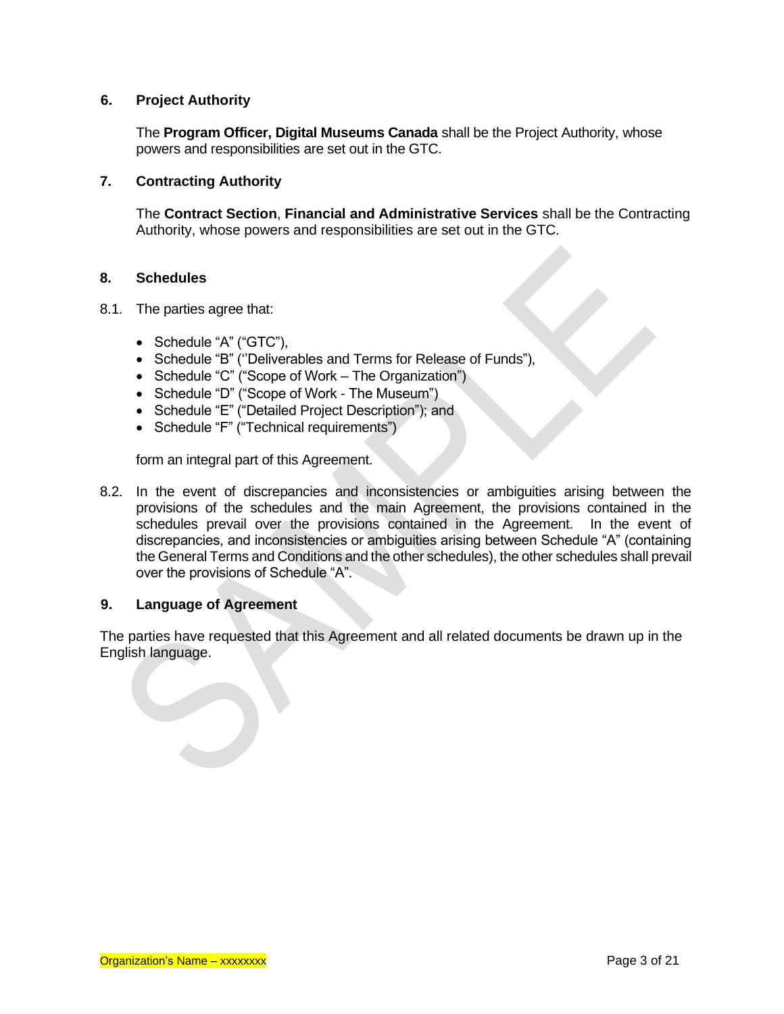## **6. Project Authority**

The **Program Officer, Digital Museums Canada** shall be the Project Authority, whose powers and responsibilities are set out in the GTC.

#### **7. Contracting Authority**

The **Contract Section**, **Financial and Administrative Services** shall be the Contracting Authority, whose powers and responsibilities are set out in the GTC.

#### **8. Schedules**

- 8.1. The parties agree that:
	- Schedule "A" ("GTC"),
	- Schedule "B" (''Deliverables and Terms for Release of Funds"),
	- Schedule "C" ("Scope of Work The Organization")
	- Schedule "D" ("Scope of Work The Museum")
	- Schedule "E" ("Detailed Project Description"); and
	- Schedule "F" ("Technical requirements")

form an integral part of this Agreement.

8.2. In the event of discrepancies and inconsistencies or ambiguities arising between the provisions of the schedules and the main Agreement, the provisions contained in the schedules prevail over the provisions contained in the Agreement. In the event of discrepancies, and inconsistencies or ambiguities arising between Schedule "A" (containing the General Terms and Conditions and the other schedules), the other schedules shall prevail over the provisions of Schedule "A".

#### **9. Language of Agreement**

The parties have requested that this Agreement and all related documents be drawn up in the English language.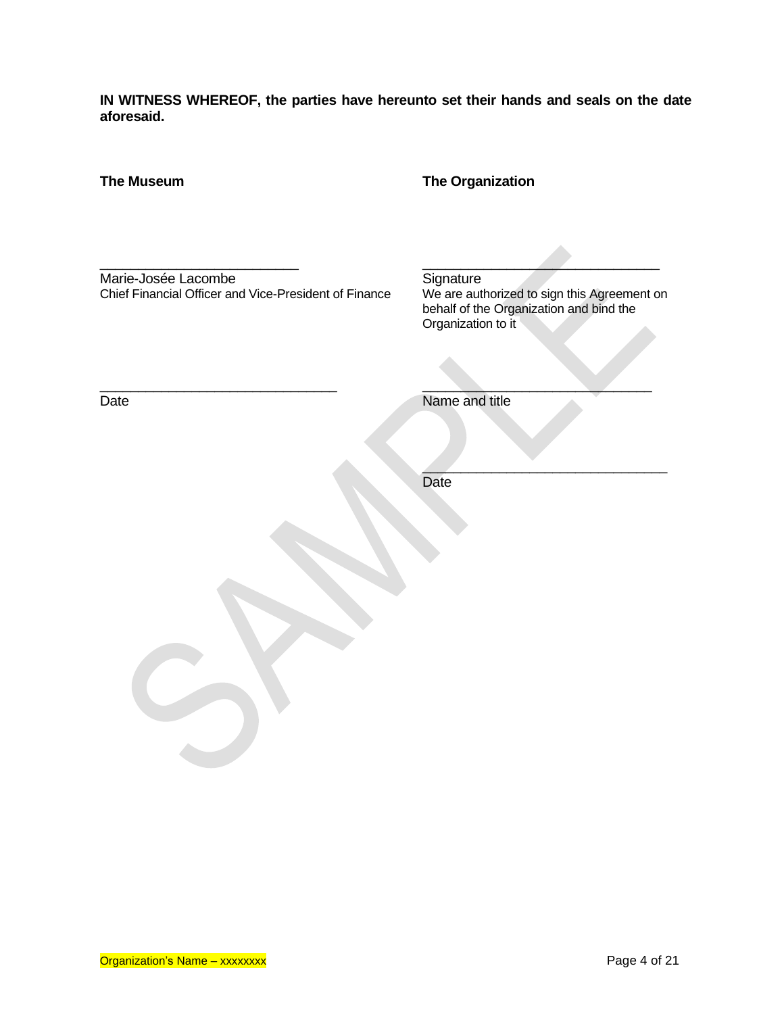**IN WITNESS WHEREOF, the parties have hereunto set their hands and seals on the date aforesaid.**

| <b>The Museum</b>                                                            | <b>The Organization</b>                                                                                                   |
|------------------------------------------------------------------------------|---------------------------------------------------------------------------------------------------------------------------|
| Marie-Josée Lacombe<br>Chief Financial Officer and Vice-President of Finance | Signature<br>We are authorized to sign this Agreement on<br>behalf of the Organization and bind the<br>Organization to it |
| Date                                                                         | Name and title                                                                                                            |
|                                                                              |                                                                                                                           |
|                                                                              | Date                                                                                                                      |
|                                                                              |                                                                                                                           |
|                                                                              |                                                                                                                           |
|                                                                              |                                                                                                                           |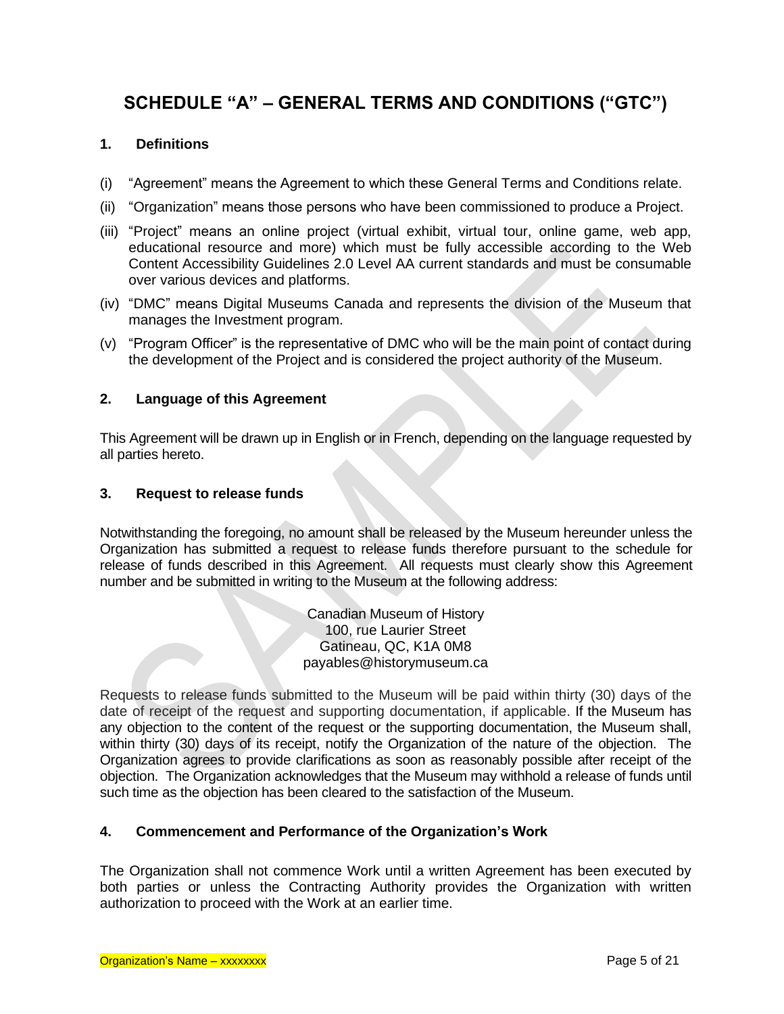# **SCHEDULE "A" – GENERAL TERMS AND CONDITIONS ("GTC")**

# **1. Definitions**

- (i) "Agreement" means the Agreement to which these General Terms and Conditions relate.
- (ii) "Organization" means those persons who have been commissioned to produce a Project.
- (iii) "Project" means an online project (virtual exhibit, virtual tour, online game, web app, educational resource and more) which must be fully accessible according to the Web Content Accessibility Guidelines 2.0 Level AA current standards and must be consumable over various devices and platforms.
- (iv) "DMC" means Digital Museums Canada and represents the division of the Museum that manages the Investment program.
- (v) "Program Officer" is the representative of DMC who will be the main point of contact during the development of the Project and is considered the project authority of the Museum.

## **2. Language of this Agreement**

This Agreement will be drawn up in English or in French, depending on the language requested by all parties hereto.

#### **3. Request to release funds**

Notwithstanding the foregoing, no amount shall be released by the Museum hereunder unless the Organization has submitted a request to release funds therefore pursuant to the schedule for release of funds described in this Agreement. All requests must clearly show this Agreement number and be submitted in writing to the Museum at the following address:

> Canadian Museum of History 100, rue Laurier Street Gatineau, QC, K1A 0M8 payables@historymuseum.ca

Requests to release funds submitted to the Museum will be paid within thirty (30) days of the date of receipt of the request and supporting documentation, if applicable. If the Museum has any objection to the content of the request or the supporting documentation, the Museum shall, within thirty (30) days of its receipt, notify the Organization of the nature of the objection. The Organization agrees to provide clarifications as soon as reasonably possible after receipt of the objection. The Organization acknowledges that the Museum may withhold a release of funds until such time as the objection has been cleared to the satisfaction of the Museum.

# **4. Commencement and Performance of the Organization's Work**

The Organization shall not commence Work until a written Agreement has been executed by both parties or unless the Contracting Authority provides the Organization with written authorization to proceed with the Work at an earlier time.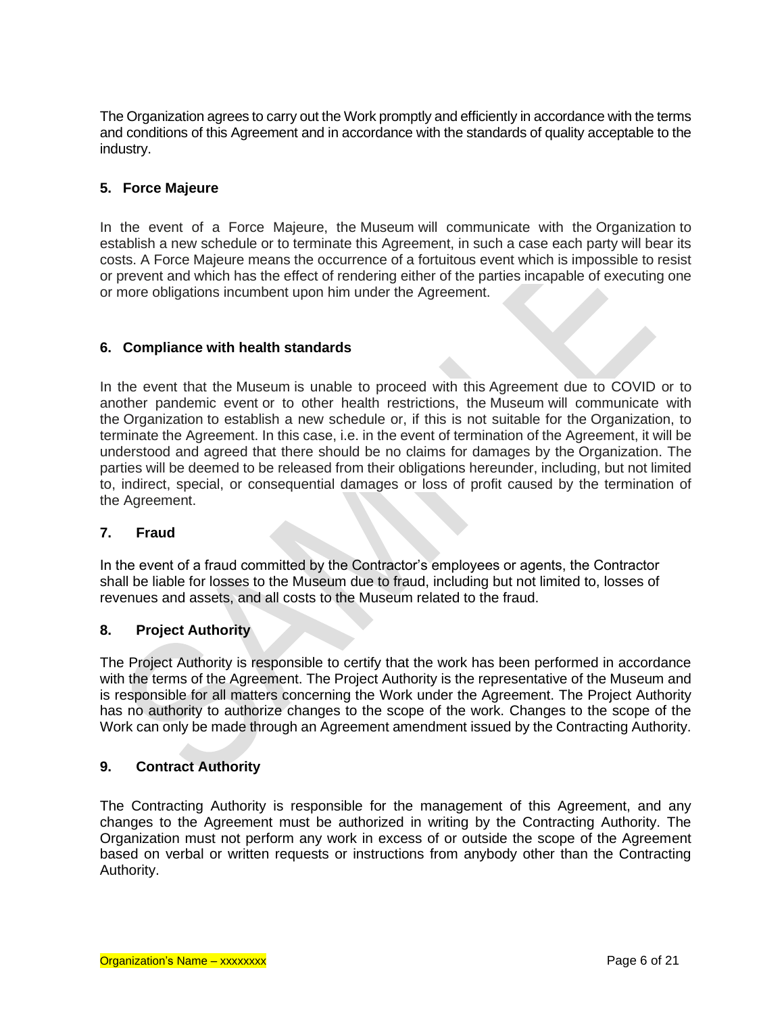The Organization agrees to carry out the Work promptly and efficiently in accordance with the terms and conditions of this Agreement and in accordance with the standards of quality acceptable to the industry.

# **5. Force Majeure**

In the event of a Force Majeure, the Museum will communicate with the Organization to establish a new schedule or to terminate this Agreement, in such a case each party will bear its costs. A Force Majeure means the occurrence of a fortuitous event which is impossible to resist or prevent and which has the effect of rendering either of the parties incapable of executing one or more obligations incumbent upon him under the Agreement.

# **6. Compliance with health standards**

In the event that the Museum is unable to proceed with this Agreement due to COVID or to another pandemic event or to other health restrictions, the Museum will communicate with the Organization to establish a new schedule or, if this is not suitable for the Organization, to terminate the Agreement. In this case, i.e. in the event of termination of the Agreement, it will be understood and agreed that there should be no claims for damages by the Organization. The parties will be deemed to be released from their obligations hereunder, including, but not limited to, indirect, special, or consequential damages or loss of profit caused by the termination of the Agreement.

#### **7. Fraud**

In the event of a fraud committed by the Contractor's employees or agents, the Contractor shall be liable for losses to the Museum due to fraud, including but not limited to, losses of revenues and assets, and all costs to the Museum related to the fraud.

#### **8. Project Authority**

The Project Authority is responsible to certify that the work has been performed in accordance with the terms of the Agreement. The Project Authority is the representative of the Museum and is responsible for all matters concerning the Work under the Agreement. The Project Authority has no authority to authorize changes to the scope of the work. Changes to the scope of the Work can only be made through an Agreement amendment issued by the Contracting Authority.

#### **9. Contract Authority**

The Contracting Authority is responsible for the management of this Agreement, and any changes to the Agreement must be authorized in writing by the Contracting Authority. The Organization must not perform any work in excess of or outside the scope of the Agreement based on verbal or written requests or instructions from anybody other than the Contracting Authority.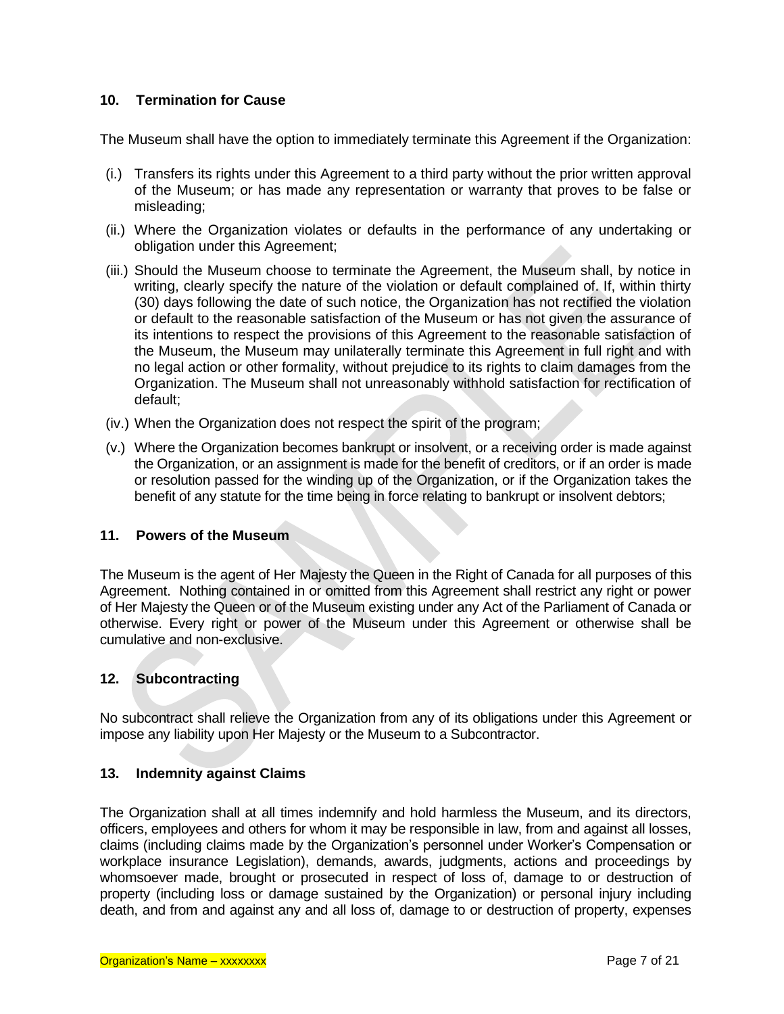## **10. Termination for Cause**

The Museum shall have the option to immediately terminate this Agreement if the Organization:

- (i.) Transfers its rights under this Agreement to a third party without the prior written approval of the Museum; or has made any representation or warranty that proves to be false or misleading;
- (ii.) Where the Organization violates or defaults in the performance of any undertaking or obligation under this Agreement;
- (iii.) Should the Museum choose to terminate the Agreement, the Museum shall, by notice in writing, clearly specify the nature of the violation or default complained of. If, within thirty (30) days following the date of such notice, the Organization has not rectified the violation or default to the reasonable satisfaction of the Museum or has not given the assurance of its intentions to respect the provisions of this Agreement to the reasonable satisfaction of the Museum, the Museum may unilaterally terminate this Agreement in full right and with no legal action or other formality, without prejudice to its rights to claim damages from the Organization. The Museum shall not unreasonably withhold satisfaction for rectification of default;
- (iv.) When the Organization does not respect the spirit of the program;
- (v.) Where the Organization becomes bankrupt or insolvent, or a receiving order is made against the Organization, or an assignment is made for the benefit of creditors, or if an order is made or resolution passed for the winding up of the Organization, or if the Organization takes the benefit of any statute for the time being in force relating to bankrupt or insolvent debtors;

#### **11. Powers of the Museum**

The Museum is the agent of Her Majesty the Queen in the Right of Canada for all purposes of this Agreement. Nothing contained in or omitted from this Agreement shall restrict any right or power of Her Majesty the Queen or of the Museum existing under any Act of the Parliament of Canada or otherwise. Every right or power of the Museum under this Agreement or otherwise shall be cumulative and non-exclusive.

#### **12. Subcontracting**

No subcontract shall relieve the Organization from any of its obligations under this Agreement or impose any liability upon Her Majesty or the Museum to a Subcontractor.

#### **13. Indemnity against Claims**

The Organization shall at all times indemnify and hold harmless the Museum, and its directors, officers, employees and others for whom it may be responsible in law, from and against all losses, claims (including claims made by the Organization's personnel under Worker's Compensation or workplace insurance Legislation), demands, awards, judgments, actions and proceedings by whomsoever made, brought or prosecuted in respect of loss of, damage to or destruction of property (including loss or damage sustained by the Organization) or personal injury including death, and from and against any and all loss of, damage to or destruction of property, expenses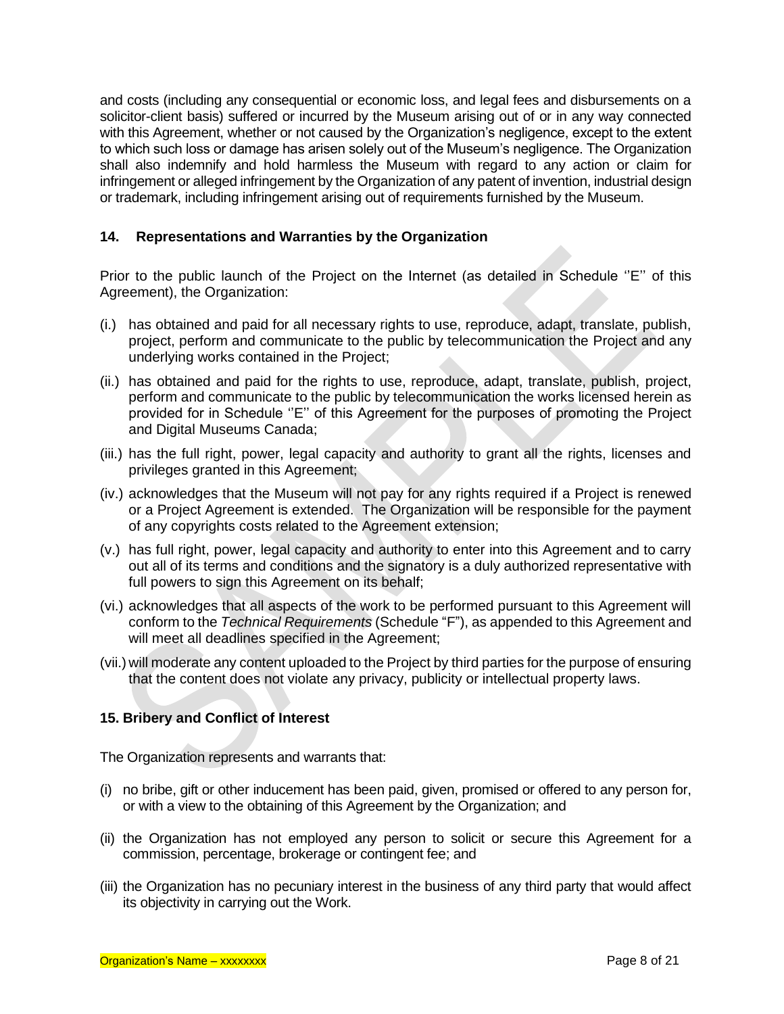and costs (including any consequential or economic loss, and legal fees and disbursements on a solicitor-client basis) suffered or incurred by the Museum arising out of or in any way connected with this Agreement, whether or not caused by the Organization's negligence, except to the extent to which such loss or damage has arisen solely out of the Museum's negligence. The Organization shall also indemnify and hold harmless the Museum with regard to any action or claim for infringement or alleged infringement by the Organization of any patent of invention, industrial design or trademark, including infringement arising out of requirements furnished by the Museum.

## **14. Representations and Warranties by the Organization**

Prior to the public launch of the Project on the Internet (as detailed in Schedule ''E'' of this Agreement), the Organization:

- (i.) has obtained and paid for all necessary rights to use, reproduce, adapt, translate, publish, project, perform and communicate to the public by telecommunication the Project and any underlying works contained in the Project;
- (ii.) has obtained and paid for the rights to use, reproduce, adapt, translate, publish, project, perform and communicate to the public by telecommunication the works licensed herein as provided for in Schedule ''E'' of this Agreement for the purposes of promoting the Project and Digital Museums Canada;
- (iii.) has the full right, power, legal capacity and authority to grant all the rights, licenses and privileges granted in this Agreement;
- (iv.) acknowledges that the Museum will not pay for any rights required if a Project is renewed or a Project Agreement is extended. The Organization will be responsible for the payment of any copyrights costs related to the Agreement extension;
- (v.) has full right, power, legal capacity and authority to enter into this Agreement and to carry out all of its terms and conditions and the signatory is a duly authorized representative with full powers to sign this Agreement on its behalf;
- (vi.) acknowledges that all aspects of the work to be performed pursuant to this Agreement will conform to the *Technical Requirements* (Schedule "F"), as appended to this Agreement and will meet all deadlines specified in the Agreement:
- (vii.) will moderate any content uploaded to the Project by third parties for the purpose of ensuring that the content does not violate any privacy, publicity or intellectual property laws.

#### **15. Bribery and Conflict of Interest**

The Organization represents and warrants that:

- (i) no bribe, gift or other inducement has been paid, given, promised or offered to any person for, or with a view to the obtaining of this Agreement by the Organization; and
- (ii) the Organization has not employed any person to solicit or secure this Agreement for a commission, percentage, brokerage or contingent fee; and
- (iii) the Organization has no pecuniary interest in the business of any third party that would affect its objectivity in carrying out the Work.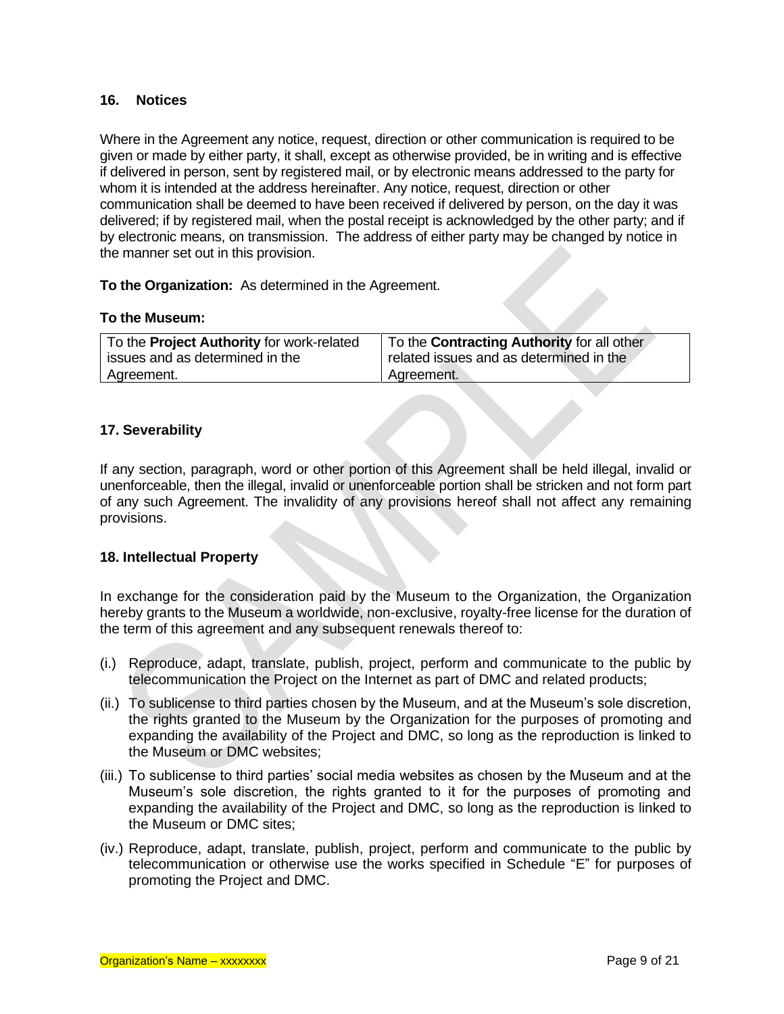#### **16. Notices**

Where in the Agreement any notice, request, direction or other communication is required to be given or made by either party, it shall, except as otherwise provided, be in writing and is effective if delivered in person, sent by registered mail, or by electronic means addressed to the party for whom it is intended at the address hereinafter. Any notice, request, direction or other communication shall be deemed to have been received if delivered by person, on the day it was delivered; if by registered mail, when the postal receipt is acknowledged by the other party; and if by electronic means, on transmission. The address of either party may be changed by notice in the manner set out in this provision.

**To the Organization:** As determined in the Agreement.

#### **To the Museum:**

| To the <b>Project Authority</b> for work-related | To the <b>Contracting Authority</b> for all other |  |
|--------------------------------------------------|---------------------------------------------------|--|
| issues and as determined in the                  | related issues and as determined in the           |  |
| Agreement.                                       | Agreement.                                        |  |

#### **17. Severability**

If any section, paragraph, word or other portion of this Agreement shall be held illegal, invalid or unenforceable, then the illegal, invalid or unenforceable portion shall be stricken and not form part of any such Agreement. The invalidity of any provisions hereof shall not affect any remaining provisions.

#### **18. Intellectual Property**

In exchange for the consideration paid by the Museum to the Organization, the Organization hereby grants to the Museum a worldwide, non-exclusive, royalty-free license for the duration of the term of this agreement and any subsequent renewals thereof to:

- (i.) Reproduce, adapt, translate, publish, project, perform and communicate to the public by telecommunication the Project on the Internet as part of DMC and related products;
- (ii.) To sublicense to third parties chosen by the Museum, and at the Museum's sole discretion, the rights granted to the Museum by the Organization for the purposes of promoting and expanding the availability of the Project and DMC, so long as the reproduction is linked to the Museum or DMC websites;
- (iii.) To sublicense to third parties' social media websites as chosen by the Museum and at the Museum's sole discretion, the rights granted to it for the purposes of promoting and expanding the availability of the Project and DMC, so long as the reproduction is linked to the Museum or DMC sites;
- (iv.) Reproduce, adapt, translate, publish, project, perform and communicate to the public by telecommunication or otherwise use the works specified in Schedule "E" for purposes of promoting the Project and DMC.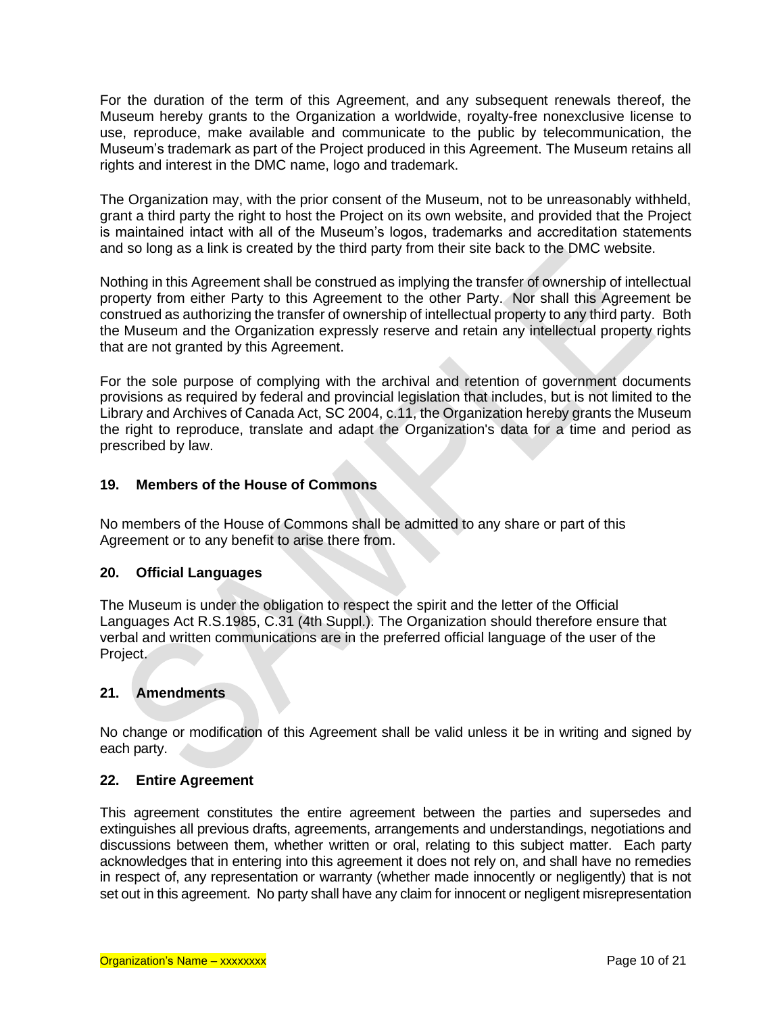For the duration of the term of this Agreement, and any subsequent renewals thereof, the Museum hereby grants to the Organization a worldwide, royalty-free nonexclusive license to use, reproduce, make available and communicate to the public by telecommunication, the Museum's trademark as part of the Project produced in this Agreement. The Museum retains all rights and interest in the DMC name, logo and trademark.

The Organization may, with the prior consent of the Museum, not to be unreasonably withheld, grant a third party the right to host the Project on its own website, and provided that the Project is maintained intact with all of the Museum's logos, trademarks and accreditation statements and so long as a link is created by the third party from their site back to the DMC website.

Nothing in this Agreement shall be construed as implying the transfer of ownership of intellectual property from either Party to this Agreement to the other Party. Nor shall this Agreement be construed as authorizing the transfer of ownership of intellectual property to any third party. Both the Museum and the Organization expressly reserve and retain any intellectual property rights that are not granted by this Agreement.

For the sole purpose of complying with the archival and retention of government documents provisions as required by federal and provincial legislation that includes, but is not limited to the Library and Archives of Canada Act, SC 2004, c.11, the Organization hereby grants the Museum the right to reproduce, translate and adapt the Organization's data for a time and period as prescribed by law.

#### **19. Members of the House of Commons**

No members of the House of Commons shall be admitted to any share or part of this Agreement or to any benefit to arise there from.

#### **20. Official Languages**

The Museum is under the obligation to respect the spirit and the letter of the Official Languages Act R.S.1985, C.31 (4th Suppl.). The Organization should therefore ensure that verbal and written communications are in the preferred official language of the user of the Project.

#### **21. Amendments**

No change or modification of this Agreement shall be valid unless it be in writing and signed by each party.

#### **22. Entire Agreement**

This agreement constitutes the entire agreement between the parties and supersedes and extinguishes all previous drafts, agreements, arrangements and understandings, negotiations and discussions between them, whether written or oral, relating to this subject matter. Each party acknowledges that in entering into this agreement it does not rely on, and shall have no remedies in respect of, any representation or warranty (whether made innocently or negligently) that is not set out in this agreement. No party shall have any claim for innocent or negligent misrepresentation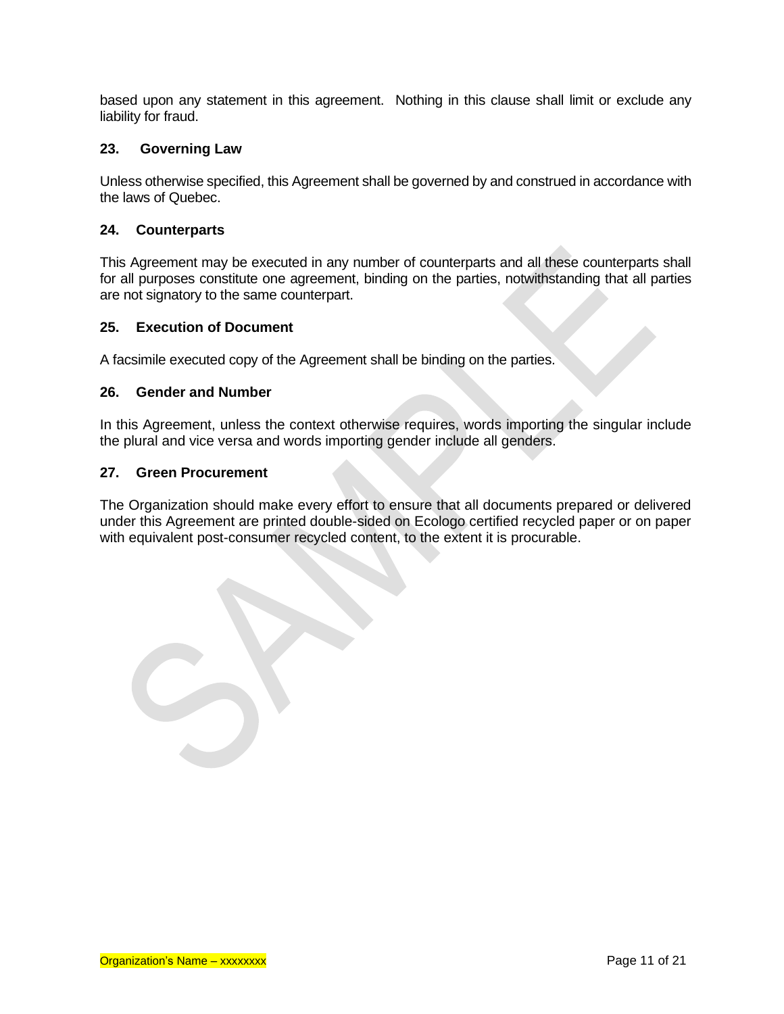based upon any statement in this agreement. Nothing in this clause shall limit or exclude any liability for fraud.

#### **23. Governing Law**

Unless otherwise specified, this Agreement shall be governed by and construed in accordance with the laws of Quebec.

#### **24. Counterparts**

This Agreement may be executed in any number of counterparts and all these counterparts shall for all purposes constitute one agreement, binding on the parties, notwithstanding that all parties are not signatory to the same counterpart.

#### **25. Execution of Document**

A facsimile executed copy of the Agreement shall be binding on the parties.

#### **26. Gender and Number**

In this Agreement, unless the context otherwise requires, words importing the singular include the plural and vice versa and words importing gender include all genders.

#### **27. Green Procurement**

The Organization should make every effort to ensure that all documents prepared or delivered under this Agreement are printed double-sided on Ecologo certified recycled paper or on paper with equivalent post-consumer recycled content, to the extent it is procurable.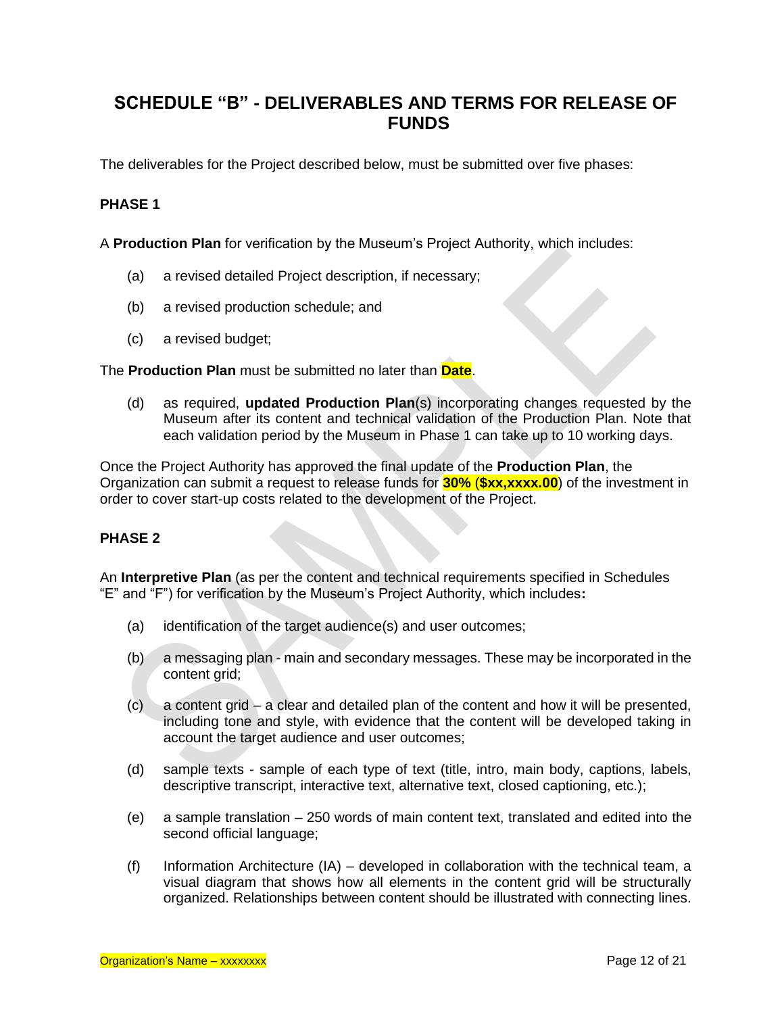# **SCHEDULE "B" - DELIVERABLES AND TERMS FOR RELEASE OF FUNDS**

The deliverables for the Project described below, must be submitted over five phases:

# **PHASE 1**

A **Production Plan** for verification by the Museum's Project Authority, which includes:

- (a) a revised detailed Project description, if necessary;
- (b) a revised production schedule; and
- (c) a revised budget;

The **Production Plan** must be submitted no later than **Date**.

(d) as required, **updated Production Plan**(s) incorporating changes requested by the Museum after its content and technical validation of the Production Plan. Note that each validation period by the Museum in Phase 1 can take up to 10 working days.

Once the Project Authority has approved the final update of the **Production Plan**, the Organization can submit a request to release funds for **30%** (**\$xx,xxxx.00**) of the investment in order to cover start-up costs related to the development of the Project.

# **PHASE 2**

An **Interpretive Plan** (as per the content and technical requirements specified in Schedules "E" and "F") for verification by the Museum's Project Authority, which includes**:**

- (a) identification of the target audience(s) and user outcomes;
- (b) a messaging plan main and secondary messages. These may be incorporated in the content grid;
- (c) a content grid a clear and detailed plan of the content and how it will be presented, including tone and style, with evidence that the content will be developed taking in account the target audience and user outcomes;
- (d) sample texts sample of each type of text (title, intro, main body, captions, labels, descriptive transcript, interactive text, alternative text, closed captioning, etc.);
- (e) a sample translation 250 words of main content text, translated and edited into the second official language;
- (f) Information Architecture (IA) developed in collaboration with the technical team, a visual diagram that shows how all elements in the content grid will be structurally organized. Relationships between content should be illustrated with connecting lines.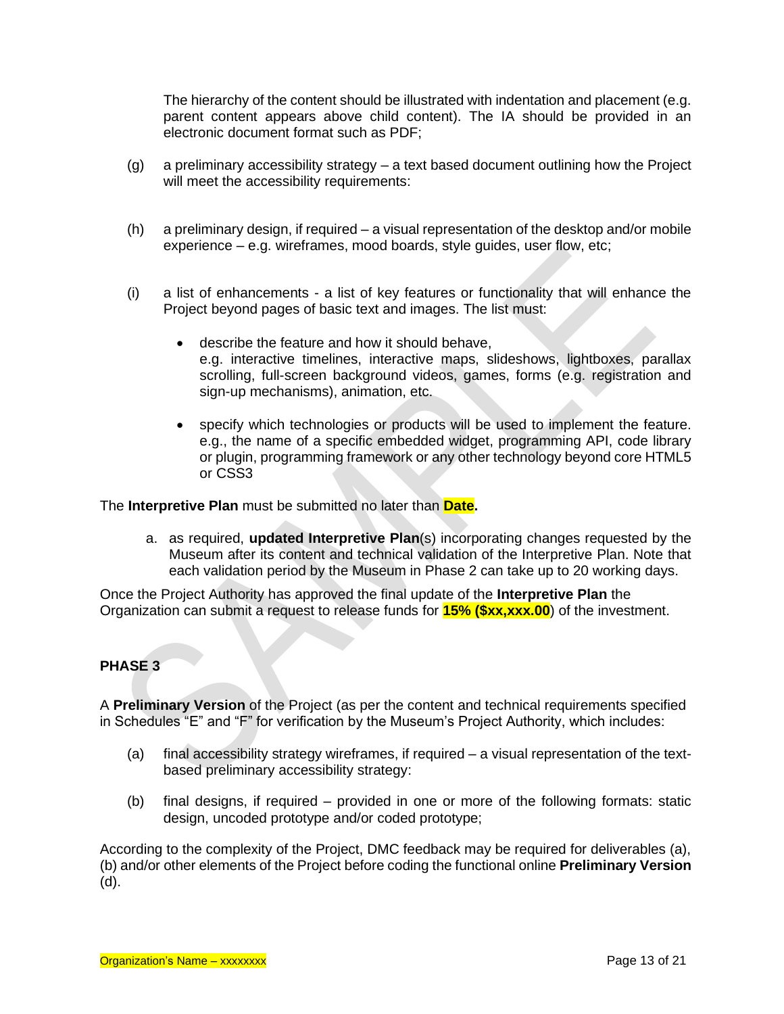The hierarchy of the content should be illustrated with indentation and placement (e.g. parent content appears above child content). The IA should be provided in an electronic document format such as PDF;

- (g) a preliminary accessibility strategy a text based document outlining how the Project will meet the accessibility requirements:
- (h) a preliminary design, if required a visual representation of the desktop and/or mobile experience – e.g. wireframes, mood boards, style guides, user flow, etc;
- (i) a list of enhancements a list of key features or functionality that will enhance the Project beyond pages of basic text and images. The list must:
	- describe the feature and how it should behave, e.g. interactive timelines, interactive maps, slideshows, lightboxes, parallax scrolling, full-screen background videos, games, forms (e.g. registration and sign-up mechanisms), animation, etc.
	- specify which technologies or products will be used to implement the feature. e.g., the name of a specific embedded widget, programming API, code library or plugin, programming framework or any other technology beyond core HTML5 or CSS3

The **Interpretive Plan** must be submitted no later than **Date.**

a. as required, **updated Interpretive Plan**(s) incorporating changes requested by the Museum after its content and technical validation of the Interpretive Plan. Note that each validation period by the Museum in Phase 2 can take up to 20 working days.

Once the Project Authority has approved the final update of the **Interpretive Plan** the Organization can submit a request to release funds for **15% (\$xx,xxx.00**) of the investment.

# **PHASE 3**

A **Preliminary Version** of the Project (as per the content and technical requirements specified in Schedules "E" and "F" for verification by the Museum's Project Authority, which includes:

- (a) final accessibility strategy wireframes, if required a visual representation of the textbased preliminary accessibility strategy:
- (b) final designs, if required provided in one or more of the following formats: static design, uncoded prototype and/or coded prototype;

According to the complexity of the Project, DMC feedback may be required for deliverables (a), (b) and/or other elements of the Project before coding the functional online **Preliminary Version** (d).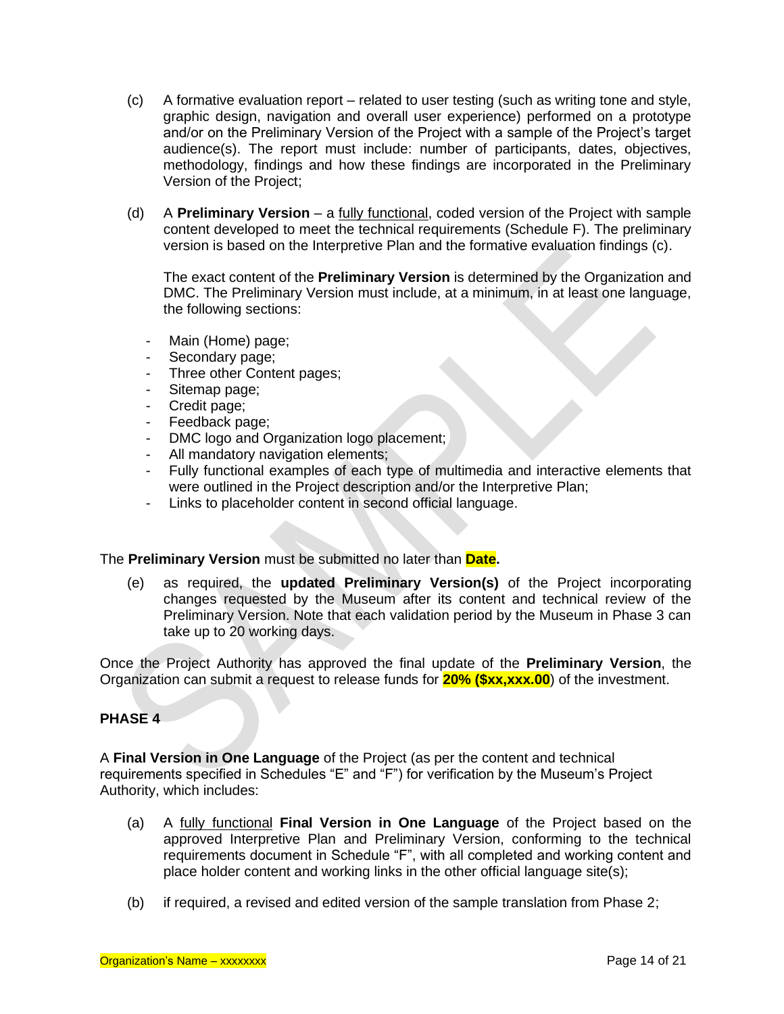- (c) A formative evaluation report related to user testing (such as writing tone and style, graphic design, navigation and overall user experience) performed on a prototype and/or on the Preliminary Version of the Project with a sample of the Project's target audience(s). The report must include: number of participants, dates, objectives, methodology, findings and how these findings are incorporated in the Preliminary Version of the Project;
- (d) A **Preliminary Version** a fully functional, coded version of the Project with sample content developed to meet the technical requirements (Schedule F). The preliminary version is based on the Interpretive Plan and the formative evaluation findings (c).

The exact content of the **Preliminary Version** is determined by the Organization and DMC. The Preliminary Version must include, at a minimum, in at least one language, the following sections:

- Main (Home) page;
- Secondary page;
- Three other Content pages;
- Sitemap page;
- Credit page;
- Feedback page;
- DMC logo and Organization logo placement;
- All mandatory navigation elements;
- Fully functional examples of each type of multimedia and interactive elements that were outlined in the Project description and/or the Interpretive Plan;
- Links to placeholder content in second official language.

The **Preliminary Version** must be submitted no later than **Date.**

(e) as required, the **updated Preliminary Version(s)** of the Project incorporating changes requested by the Museum after its content and technical review of the Preliminary Version. Note that each validation period by the Museum in Phase 3 can take up to 20 working days.

Once the Project Authority has approved the final update of the **Preliminary Version**, the Organization can submit a request to release funds for **20% (\$xx,xxx.00**) of the investment.

# **PHASE 4**

A **Final Version in One Language** of the Project (as per the content and technical requirements specified in Schedules "E" and "F") for verification by the Museum's Project Authority, which includes:

- (a) A fully functional **Final Version in One Language** of the Project based on the approved Interpretive Plan and Preliminary Version, conforming to the technical requirements document in Schedule "F", with all completed and working content and place holder content and working links in the other official language site(s);
- (b) if required, a revised and edited version of the sample translation from Phase 2;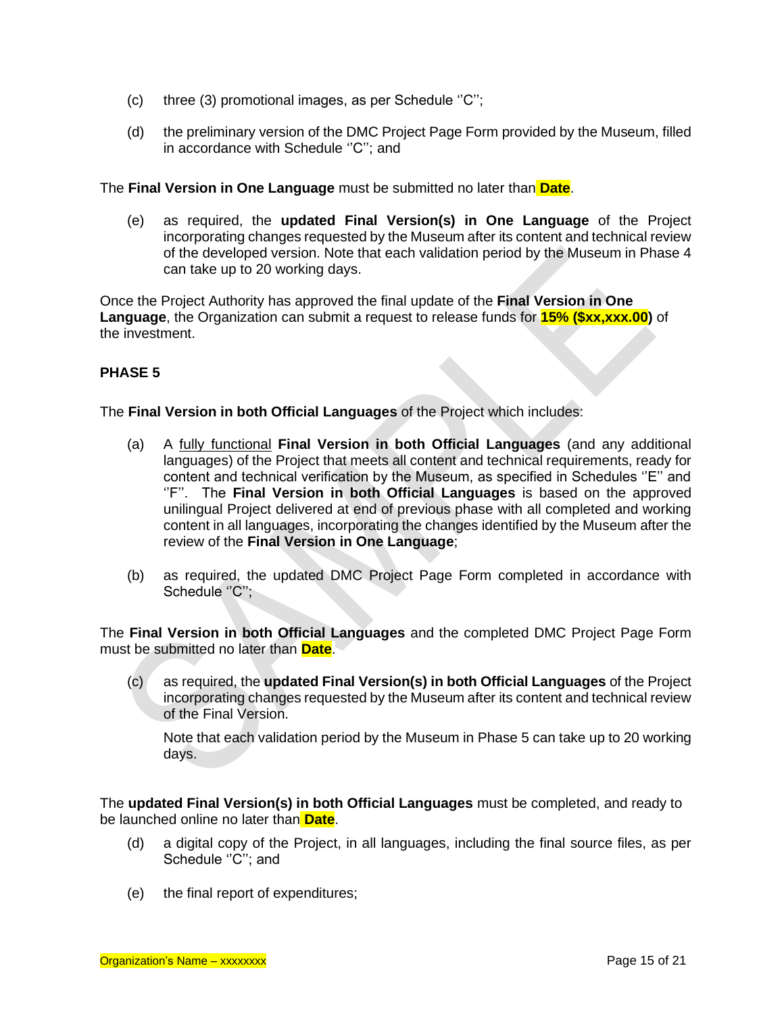- (c) three (3) promotional images, as per Schedule ''C'';
- (d) the preliminary version of the DMC Project Page Form provided by the Museum, filled in accordance with Schedule "C"; and

The **Final Version in One Language** must be submitted no later than **Date**.

(e) as required, the **updated Final Version(s) in One Language** of the Project incorporating changes requested by the Museum after its content and technical review of the developed version. Note that each validation period by the Museum in Phase 4 can take up to 20 working days.

Once the Project Authority has approved the final update of the **Final Version in One Language**, the Organization can submit a request to release funds for **15% (\$xx,xxx.00)** of the investment.

# **PHASE 5**

The **Final Version in both Official Languages** of the Project which includes:

- (a) A fully functional **Final Version in both Official Languages** (and any additional languages) of the Project that meets all content and technical requirements, ready for content and technical verification by the Museum, as specified in Schedules ''E'' and ''F''. The **Final Version in both Official Languages** is based on the approved unilingual Project delivered at end of previous phase with all completed and working content in all languages, incorporating the changes identified by the Museum after the review of the **Final Version in One Language**;
- (b) as required, the updated DMC Project Page Form completed in accordance with Schedule "C";

The **Final Version in both Official Languages** and the completed DMC Project Page Form must be submitted no later than **Date**.

(c) as required, the **updated Final Version(s) in both Official Languages** of the Project incorporating changes requested by the Museum after its content and technical review of the Final Version.

Note that each validation period by the Museum in Phase 5 can take up to 20 working days.

The **updated Final Version(s) in both Official Languages** must be completed, and ready to be launched online no later than **Date**.

- (d) a digital copy of the Project, in all languages, including the final source files, as per Schedule "C"; and
- (e) the final report of expenditures;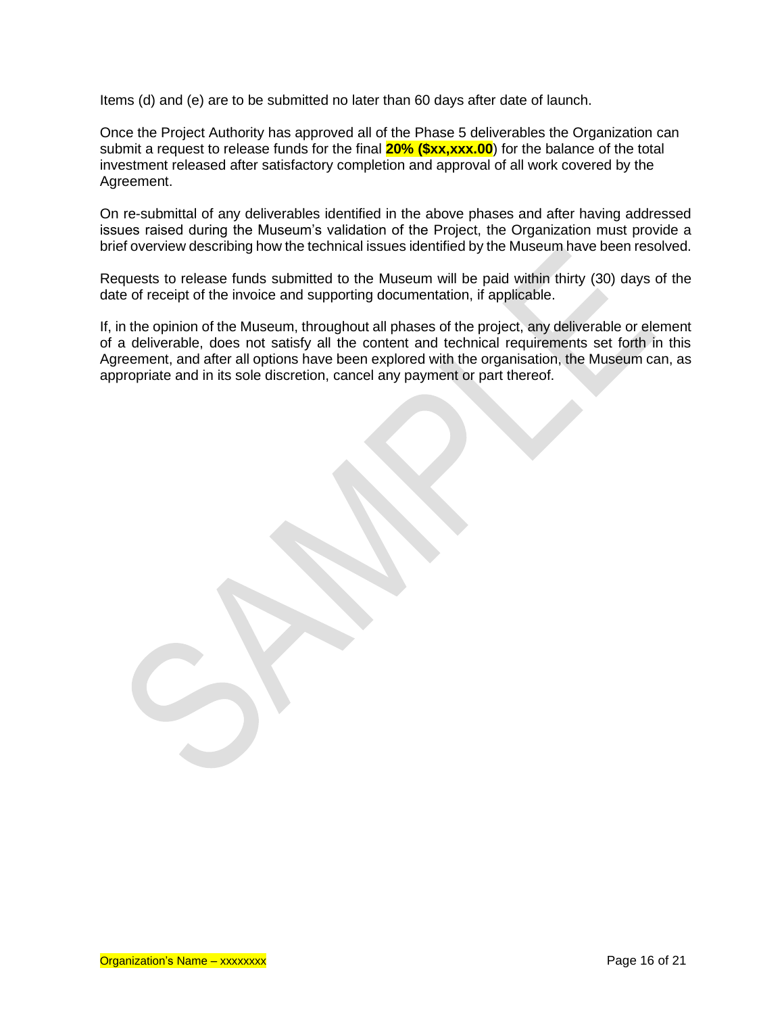Items (d) and (e) are to be submitted no later than 60 days after date of launch.

Once the Project Authority has approved all of the Phase 5 deliverables the Organization can submit a request to release funds for the final **20% (\$xx,xxx.00**) for the balance of the total investment released after satisfactory completion and approval of all work covered by the Agreement.

On re-submittal of any deliverables identified in the above phases and after having addressed issues raised during the Museum's validation of the Project, the Organization must provide a brief overview describing how the technical issues identified by the Museum have been resolved.

Requests to release funds submitted to the Museum will be paid within thirty (30) days of the date of receipt of the invoice and supporting documentation, if applicable.

If, in the opinion of the Museum, throughout all phases of the project, any deliverable or element of a deliverable, does not satisfy all the content and technical requirements set forth in this Agreement, and after all options have been explored with the organisation, the Museum can, as appropriate and in its sole discretion, cancel any payment or part thereof.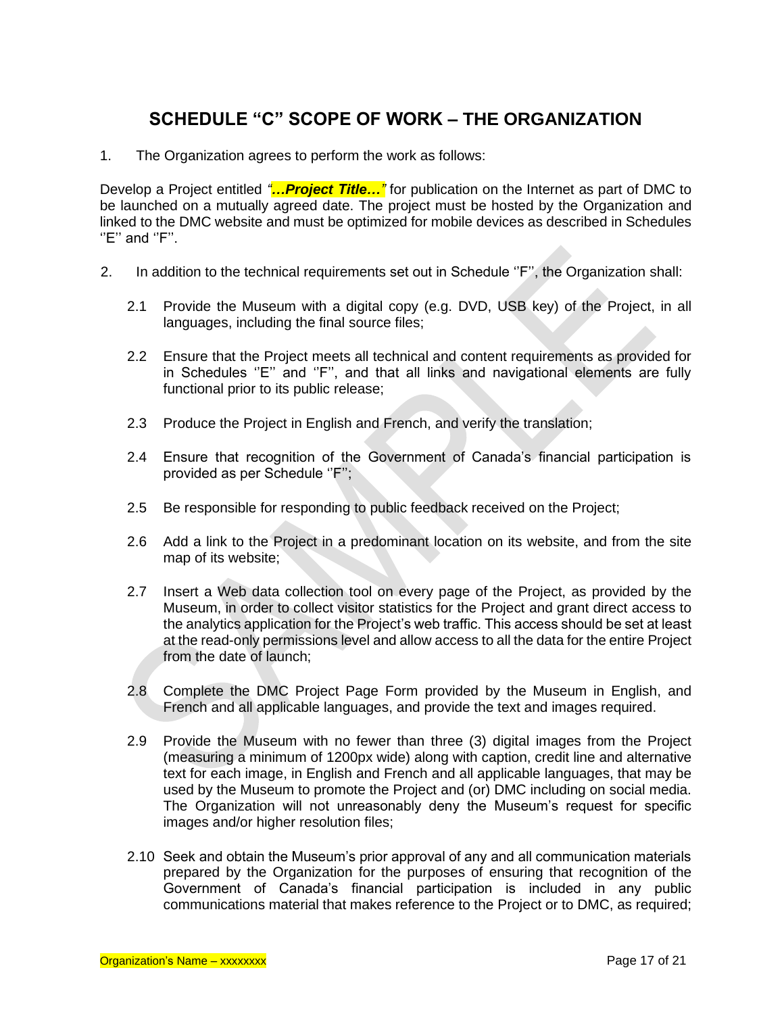# **SCHEDULE "C" SCOPE OF WORK – THE ORGANIZATION**

1. The Organization agrees to perform the work as follows:

Develop a Project entitled *"…Project Title…"* for publication on the Internet as part of DMC to be launched on a mutually agreed date. The project must be hosted by the Organization and linked to the DMC website and must be optimized for mobile devices as described in Schedules  $"E"$  and  $"F"$ .

- 2. In addition to the technical requirements set out in Schedule "F", the Organization shall:
	- 2.1 Provide the Museum with a digital copy (e.g. DVD, USB key) of the Project, in all languages, including the final source files;
	- 2.2 Ensure that the Project meets all technical and content requirements as provided for in Schedules ''E'' and ''F'', and that all links and navigational elements are fully functional prior to its public release;
	- 2.3 Produce the Project in English and French, and verify the translation;
	- 2.4 Ensure that recognition of the Government of Canada's financial participation is provided as per Schedule ''F'';
	- 2.5 Be responsible for responding to public feedback received on the Project;
	- 2.6 Add a link to the Project in a predominant location on its website, and from the site map of its website;
	- 2.7 Insert a Web data collection tool on every page of the Project, as provided by the Museum, in order to collect visitor statistics for the Project and grant direct access to the analytics application for the Project's web traffic. This access should be set at least at the read-only permissions level and allow access to all the data for the entire Project from the date of launch;
	- 2.8 Complete the DMC Project Page Form provided by the Museum in English, and French and all applicable languages, and provide the text and images required.
	- 2.9 Provide the Museum with no fewer than three (3) digital images from the Project (measuring a minimum of 1200px wide) along with caption, credit line and alternative text for each image, in English and French and all applicable languages, that may be used by the Museum to promote the Project and (or) DMC including on social media. The Organization will not unreasonably deny the Museum's request for specific images and/or higher resolution files;
	- 2.10 Seek and obtain the Museum's prior approval of any and all communication materials prepared by the Organization for the purposes of ensuring that recognition of the Government of Canada's financial participation is included in any public communications material that makes reference to the Project or to DMC, as required;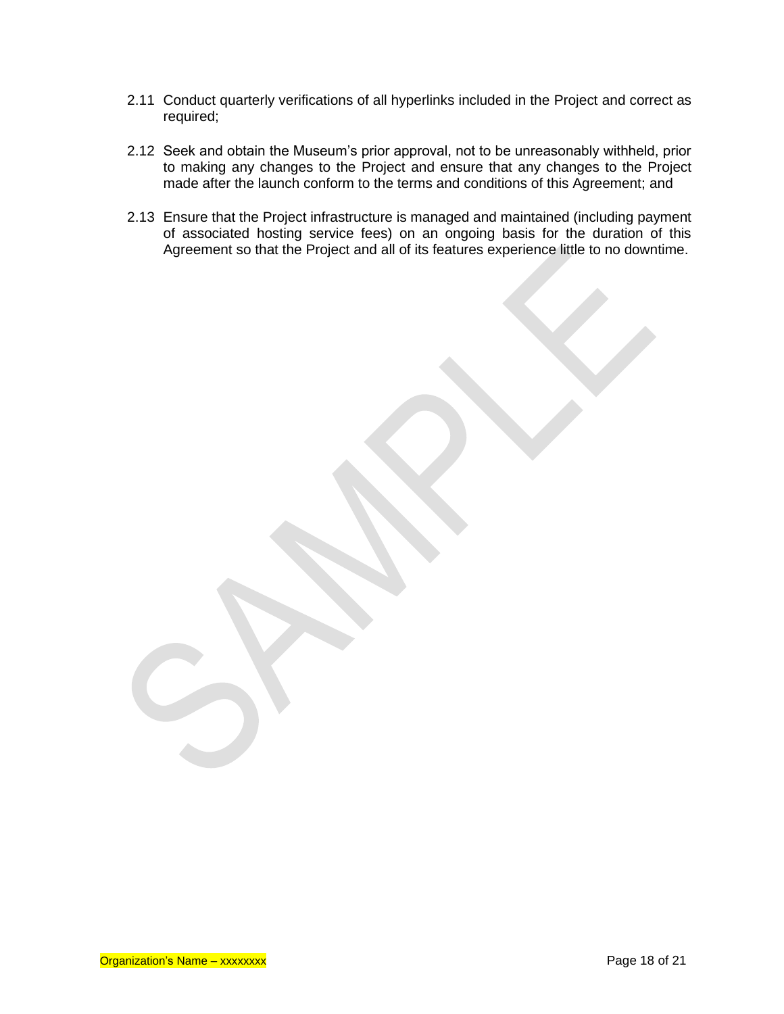- 2.11 Conduct quarterly verifications of all hyperlinks included in the Project and correct as required;
- 2.12 Seek and obtain the Museum's prior approval, not to be unreasonably withheld, prior to making any changes to the Project and ensure that any changes to the Project made after the launch conform to the terms and conditions of this Agreement; and
- 2.13 Ensure that the Project infrastructure is managed and maintained (including payment of associated hosting service fees) on an ongoing basis for the duration of this Agreement so that the Project and all of its features experience little to no downtime.

Organization's Name – xxxxxxxx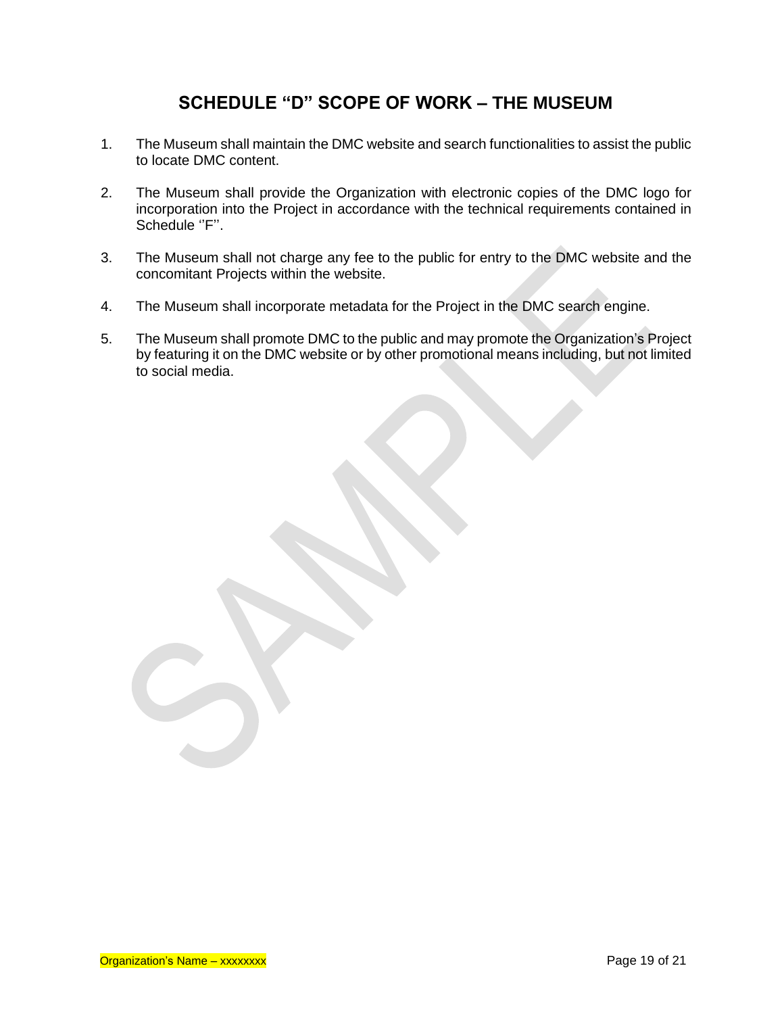# **SCHEDULE "D" SCOPE OF WORK – THE MUSEUM**

- 1. The Museum shall maintain the DMC website and search functionalities to assist the public to locate DMC content.
- 2. The Museum shall provide the Organization with electronic copies of the DMC logo for incorporation into the Project in accordance with the technical requirements contained in Schedule "F".
- 3. The Museum shall not charge any fee to the public for entry to the DMC website and the concomitant Projects within the website.
- 4. The Museum shall incorporate metadata for the Project in the DMC search engine.
- 5. The Museum shall promote DMC to the public and may promote the Organization's Project by featuring it on the DMC website or by other promotional means including, but not limited to social media.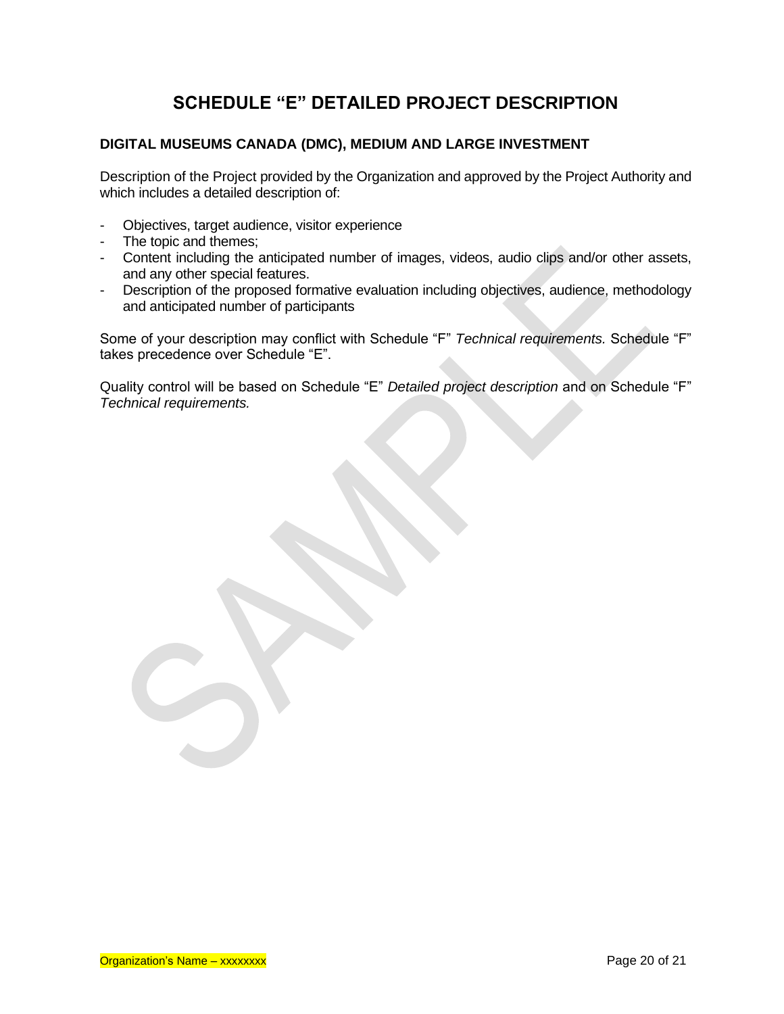# **SCHEDULE "E" DETAILED PROJECT DESCRIPTION**

# **DIGITAL MUSEUMS CANADA (DMC), MEDIUM AND LARGE INVESTMENT**

Description of the Project provided by the Organization and approved by the Project Authority and which includes a detailed description of:

- Objectives, target audience, visitor experience
- The topic and themes;
- Content including the anticipated number of images, videos, audio clips and/or other assets, and any other special features.
- Description of the proposed formative evaluation including objectives, audience, methodology and anticipated number of participants

Some of your description may conflict with Schedule "F" *Technical requirements.* Schedule "F" takes precedence over Schedule "E".

Quality control will be based on Schedule "E" *Detailed project description* and on Schedule "F" *Technical requirements.*